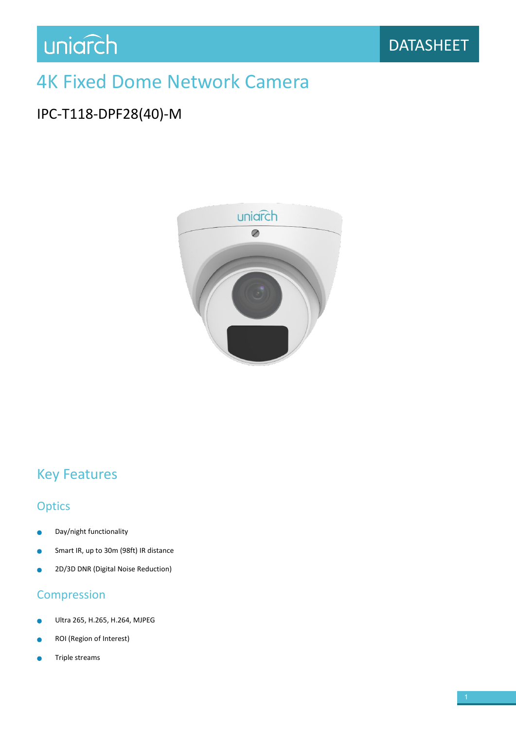## 4K Fixed Dome Network Camera

### IPC-T118-DPF28(40)-M



## Key Features

#### **Optics**

- Day/night functionality  $\blacksquare$
- Smart IR, up to 30m (98ft) IR distance  $\bullet$
- 2D/3D DNR (Digital Noise Reduction) ò

#### Compression

- Ultra 265, H.265, H.264, MJPEG
- ROI (Region of Interest)
- Triple streams۵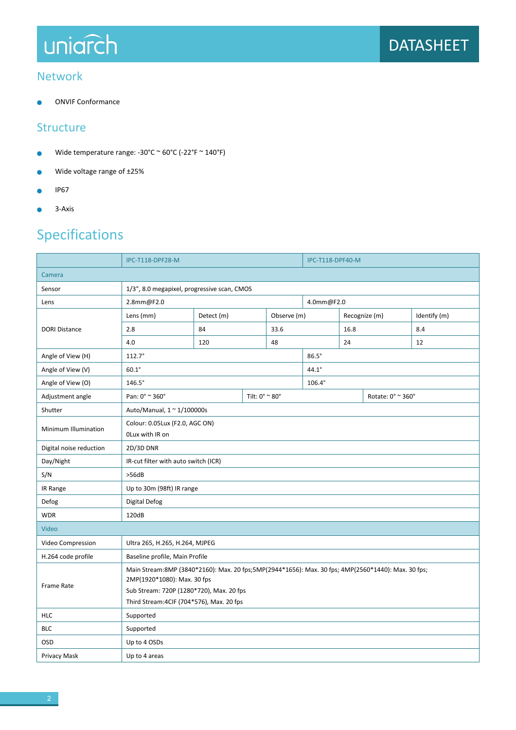# uniarch

#### Network

ONVIF Conformance  $\bullet$ 

#### **Structure**

- Wide temperature range: -30°C ~ 60°C (-22°F ~ 140°F)  $\bullet$
- Wide voltage range of ±25%  $\bullet$
- IP67  $\bullet$
- 3-Axis  $\bullet$

## Specifications

|                         | <b>IPC-T118-DPF28-M</b>                                                                                                                                                                                                    |            |  | <b>IPC-T118-DPF40-M</b> |               |                   |  |              |  |
|-------------------------|----------------------------------------------------------------------------------------------------------------------------------------------------------------------------------------------------------------------------|------------|--|-------------------------|---------------|-------------------|--|--------------|--|
| Camera                  |                                                                                                                                                                                                                            |            |  |                         |               |                   |  |              |  |
| Sensor                  | 1/3", 8.0 megapixel, progressive scan, CMOS                                                                                                                                                                                |            |  |                         |               |                   |  |              |  |
| Lens                    | 2.8mm@F2.0                                                                                                                                                                                                                 |            |  |                         | 4.0mm@F2.0    |                   |  |              |  |
| <b>DORI Distance</b>    | Lens (mm)                                                                                                                                                                                                                  | Detect (m) |  | Observe (m)             |               | Recognize (m)     |  | Identify (m) |  |
|                         | 2.8                                                                                                                                                                                                                        | 84         |  | 33.6                    |               | 16.8              |  | 8.4          |  |
|                         | 4.0                                                                                                                                                                                                                        | 120        |  | 48                      |               |                   |  | 12           |  |
| Angle of View (H)       | $112.7^{\circ}$                                                                                                                                                                                                            |            |  |                         |               | $86.5^\circ$      |  |              |  |
| Angle of View (V)       | $60.1^\circ$                                                                                                                                                                                                               |            |  |                         | $44.1^\circ$  |                   |  |              |  |
| Angle of View (O)       | $146.5^\circ$                                                                                                                                                                                                              |            |  |                         | $106.4^\circ$ |                   |  |              |  |
| Adjustment angle        | Pan: 0° ~ 360°<br>Tilt: 0° ~ 80°                                                                                                                                                                                           |            |  |                         |               | Rotate: 0° ~ 360° |  |              |  |
| Shutter                 | Auto/Manual, 1 ~ 1/100000s                                                                                                                                                                                                 |            |  |                         |               |                   |  |              |  |
| Minimum Illumination    | Colour: 0.05Lux (F2.0, AGC ON)<br>OLux with IR on                                                                                                                                                                          |            |  |                         |               |                   |  |              |  |
| Digital noise reduction | 2D/3D DNR                                                                                                                                                                                                                  |            |  |                         |               |                   |  |              |  |
| Day/Night               | IR-cut filter with auto switch (ICR)                                                                                                                                                                                       |            |  |                         |               |                   |  |              |  |
| S/N                     | >56dB                                                                                                                                                                                                                      |            |  |                         |               |                   |  |              |  |
| IR Range                | Up to 30m (98ft) IR range                                                                                                                                                                                                  |            |  |                         |               |                   |  |              |  |
| Defog                   | Digital Defog                                                                                                                                                                                                              |            |  |                         |               |                   |  |              |  |
| <b>WDR</b>              | 120dB                                                                                                                                                                                                                      |            |  |                         |               |                   |  |              |  |
| Video                   |                                                                                                                                                                                                                            |            |  |                         |               |                   |  |              |  |
| Video Compression       | Ultra 265, H.265, H.264, MJPEG                                                                                                                                                                                             |            |  |                         |               |                   |  |              |  |
| H.264 code profile      | Baseline profile, Main Profile                                                                                                                                                                                             |            |  |                         |               |                   |  |              |  |
| <b>Frame Rate</b>       | Main Stream:8MP (3840*2160): Max. 20 fps;5MP(2944*1656): Max. 30 fps; 4MP(2560*1440): Max. 30 fps;<br>2MP(1920*1080): Max. 30 fps<br>Sub Stream: 720P (1280*720), Max. 20 fps<br>Third Stream: 4CIF (704*576), Max. 20 fps |            |  |                         |               |                   |  |              |  |
| <b>HLC</b>              | Supported                                                                                                                                                                                                                  |            |  |                         |               |                   |  |              |  |
| <b>BLC</b>              | Supported                                                                                                                                                                                                                  |            |  |                         |               |                   |  |              |  |
| OSD                     | Up to 4 OSDs                                                                                                                                                                                                               |            |  |                         |               |                   |  |              |  |
| Privacy Mask            | Up to 4 areas                                                                                                                                                                                                              |            |  |                         |               |                   |  |              |  |